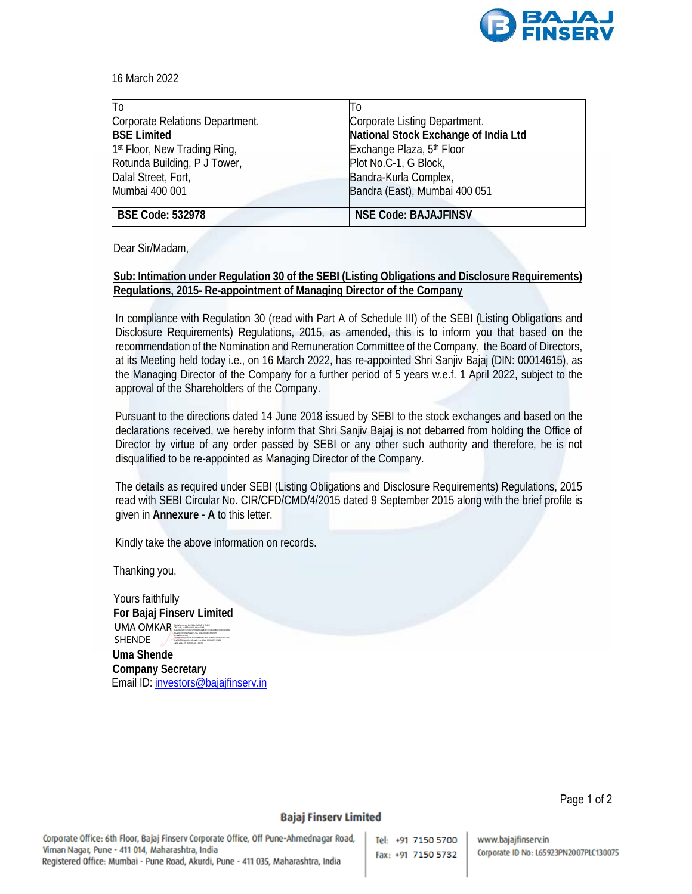

16 March 2022

| To                                       | Tо                                   |
|------------------------------------------|--------------------------------------|
| Corporate Relations Department.          | Corporate Listing Department.        |
| <b>BSE Limited</b>                       | National Stock Exchange of India Ltd |
| 1 <sup>st</sup> Floor, New Trading Ring, | Exchange Plaza, 5th Floor            |
| Rotunda Building, P J Tower,             | Plot No.C-1, G Block,                |
| Dalal Street, Fort,                      | Bandra-Kurla Complex,                |
| Mumbai 400 001                           | Bandra (East), Mumbai 400 051        |
|                                          |                                      |
| <b>BSE Code: 532978</b>                  | <b>NSE Code: BAJAJFINSV</b>          |

Dear Sir/Madam,

## **Sub: Intimation under Regulation 30 of the SEBI (Listing Obligations and Disclosure Requirements) Regulations, 2015- Re-appointment of Managing Director of the Company**

In compliance with Regulation 30 (read with Part A of Schedule III) of the SEBI (Listing Obligations and Disclosure Requirements) Regulations, 2015, as amended, this is to inform you that based on the recommendation of the Nomination and Remuneration Committee of the Company, the Board of Directors, at its Meeting held today i.e., on 16 March 2022, has re-appointed Shri Sanjiv Bajaj (DIN: 00014615), as the Managing Director of the Company for a further period of 5 years w.e.f. 1 April 2022, subject to the approval of the Shareholders of the Company.

Pursuant to the directions dated 14 June 2018 issued by SEBI to the stock exchanges and based on the declarations received, we hereby inform that Shri Sanjiv Bajaj is not debarred from holding the Office of Director by virtue of any order passed by SEBI or any other such authority and therefore, he is not disqualified to be re-appointed as Managing Director of the Company.

The details as required under SEBI (Listing Obligations and Disclosure Requirements) Regulations, 2015 read with SEBI Circular No. CIR/CFD/CMD/4/2015 dated 9 September 2015 along with the brief profile is given in **Annexure - A** to this letter.

Kindly take the above information on records.

Thanking you,

Yours faithfully **For Bajaj Finserv Limited Uma Shende Company Secretary**  Email ID: investors@bajajfinserv.in UMA OMKAR SHENDE BRANDE BY UMA SHENDE st=Maharashtra, serialNumber=36d920508d8616fe762816fb91ba0bfe079a571ac 0ce73c7622aa00e240caa3c, cn=UMA OMKAR SHENDE Date: 2022.03.16 17:05:50 +05'30'

Page 1 of 2

## **Bajaj Finserv Limited**

Tel: +91 7150 5700 Fax: +91 7150 5732